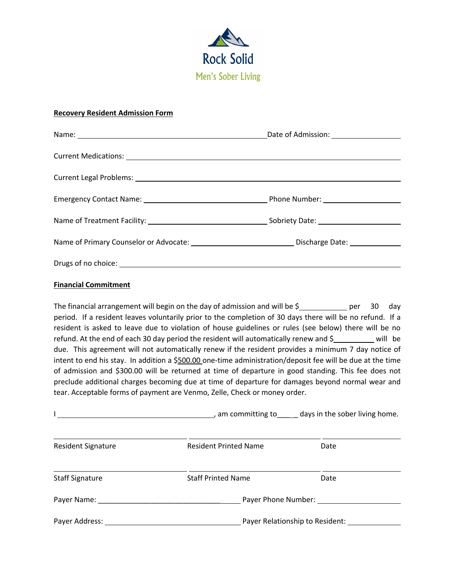

#### **Recovery Resident Admission Form**

|                                                                                                               | Date of Admission: <u>_______________________</u> |
|---------------------------------------------------------------------------------------------------------------|---------------------------------------------------|
| Current Medications: Law Management Medications: Law Management Medications:                                  |                                                   |
|                                                                                                               |                                                   |
|                                                                                                               | Phone Number: Name of Phone Number                |
|                                                                                                               |                                                   |
| Name of Primary Counselor or Advocate: ___________________________________Discharge Date: ___________________ |                                                   |
|                                                                                                               |                                                   |

# **Financial Commitment**

The financial arrangement will begin on the day of admission and will be  $\sin \theta$  per 30 day period. If a resident leaves voluntarily prior to the completion of 30 days there will be no refund. If a resident is asked to leave due to violation of house guidelines or rules (see below) there will be no refund. At the end of each 30 day period the resident will automatically renew and  $\zeta$  will be due. This agreement will not automatically renew if the resident provides a minimum 7 day notice of intent to end his stay. In addition a \$500.00 one-time administration/deposit fee will be due at the time of admission and \$300.00 will be returned at time of departure in good standing. This fee does not preclude additional charges becoming due at time of departure for damages beyond normal wear and tear. Acceptable forms of payment are Venmo, Zelle, Check or money order.

|                           | am committing to sall days in the sober living home. |      |  |
|---------------------------|------------------------------------------------------|------|--|
| <b>Resident Signature</b> | <b>Resident Printed Name</b>                         | Date |  |
| <b>Staff Signature</b>    | <b>Staff Printed Name</b>                            | Date |  |
|                           | Payer Phone Number:                                  |      |  |
| Payer Address:            | Payer Relationship to Resident:                      |      |  |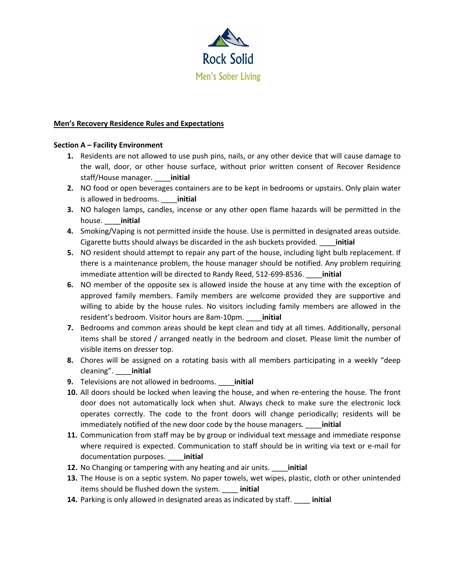

#### **Men's Recovery Residence Rules and Expectations**

#### **Section A – Facility Environment**

- **1.** Residents are not allowed to use push pins, nails, or any other device that will cause damage to the wall, door, or other house surface, without prior written consent of Recover Residence staff/House manager. \_\_\_\_**initial**
- **2.** NO food or open beverages containers are to be kept in bedrooms or upstairs. Only plain water is allowed in bedrooms. \_\_\_\_**initial**
- **3.** NO halogen lamps, candles, incense or any other open flame hazards will be permitted in the house. \_\_\_\_**initial**
- **4.** Smoking/Vaping is not permitted inside the house. Use is permitted in designated areas outside. Cigarette butts should always be discarded in the ash buckets provided. \_\_\_\_**initial**
- **5.** NO resident should attempt to repair any part of the house, including light bulb replacement. If there is a maintenance problem, the house manager should be notified. Any problem requiring immediate attention will be directed to Randy Reed, 512-699-8536. \_\_\_\_**initial**
- **6.** NO member of the opposite sex is allowed inside the house at any time with the exception of approved family members. Family members are welcome provided they are supportive and willing to abide by the house rules. No visitors including family members are allowed in the resident's bedroom. Visitor hours are 8am-10pm. \_\_\_\_**initial**
- **7.** Bedrooms and common areas should be kept clean and tidy at all times. Additionally, personal items shall be stored / arranged neatly in the bedroom and closet. Please limit the number of visible items on dresser top.
- **8.** Chores will be assigned on a rotating basis with all members participating in a weekly "deep cleaning". \_\_\_\_**initial**
- **9.** Televisions are not allowed in bedrooms. \_\_\_\_**initial**
- **10.** All doors should be locked when leaving the house, and when re-entering the house. The front door does not automatically lock when shut. Always check to make sure the electronic lock operates correctly. The code to the front doors will change periodically; residents will be immediately notified of the new door code by the house managers. \_\_\_\_**initial**
- **11.** Communication from staff may be by group or individual text message and immediate response where required is expected. Communication to staff should be in writing via text or e-mail for documentation purposes. \_\_\_\_**initial**
- **12.** No Changing or tampering with any heating and air units. \_\_\_\_**initial**
- **13.** The House is on a septic system. No paper towels, wet wipes, plastic, cloth or other unintended items should be flushed down the system. \_\_\_\_ **initial**
- **14.** Parking is only allowed in designated areas as indicated by staff. \_\_\_\_ **initial**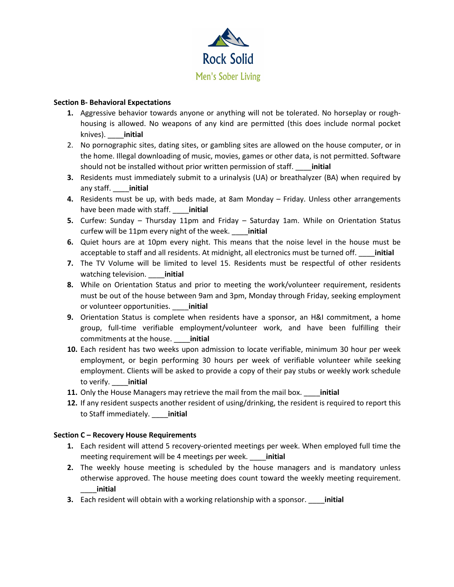

### **Section B- Behavioral Expectations**

- **1.** Aggressive behavior towards anyone or anything will not be tolerated. No horseplay or roughhousing is allowed. No weapons of any kind are permitted (this does include normal pocket knives). \_\_\_\_**initial**
- 2. No pornographic sites, dating sites, or gambling sites are allowed on the house computer, or in the home. Illegal downloading of music, movies, games or other data, is not permitted. Software should not be installed without prior written permission of staff. \_\_\_\_**initial**
- **3.** Residents must immediately submit to a urinalysis (UA) or breathalyzer (BA) when required by any staff. \_\_\_\_**initial**
- **4.** Residents must be up, with beds made, at 8am Monday Friday. Unless other arrangements have been made with staff. \_\_\_\_**initial**
- **5.** Curfew: Sunday Thursday 11pm and Friday Saturday 1am. While on Orientation Status curfew will be 11pm every night of the week. \_\_\_\_**initial**
- **6.** Quiet hours are at 10pm every night. This means that the noise level in the house must be acceptable to staff and all residents. At midnight, all electronics must be turned off. \_\_\_\_**initial**
- **7.** The TV Volume will be limited to level 15. Residents must be respectful of other residents watching television. \_\_\_\_**initial**
- **8.** While on Orientation Status and prior to meeting the work/volunteer requirement, residents must be out of the house between 9am and 3pm, Monday through Friday, seeking employment or volunteer opportunities. \_\_\_\_**initial**
- **9.** Orientation Status is complete when residents have a sponsor, an H&I commitment, a home group, full-time verifiable employment/volunteer work, and have been fulfilling their commitments at the house. \_\_\_\_**initial**
- **10.** Each resident has two weeks upon admission to locate verifiable, minimum 30 hour per week employment, or begin performing 30 hours per week of verifiable volunteer while seeking employment. Clients will be asked to provide a copy of their pay stubs or weekly work schedule to verify. \_\_\_\_**initial**
- **11.** Only the House Managers may retrieve the mail from the mail box. \_\_\_\_**initial**
- **12.** If any resident suspects another resident of using/drinking, the resident is required to report this to Staff immediately. \_\_\_\_**initial**

### **Section C – Recovery House Requirements**

- **1.** Each resident will attend 5 recovery-oriented meetings per week. When employed full time the meeting requirement will be 4 meetings per week. \_\_\_\_**initial**
- **2.** The weekly house meeting is scheduled by the house managers and is mandatory unless otherwise approved. The house meeting does count toward the weekly meeting requirement. \_\_\_\_**initial**
- **3.** Each resident will obtain with a working relationship with a sponsor. \_\_\_\_**initial**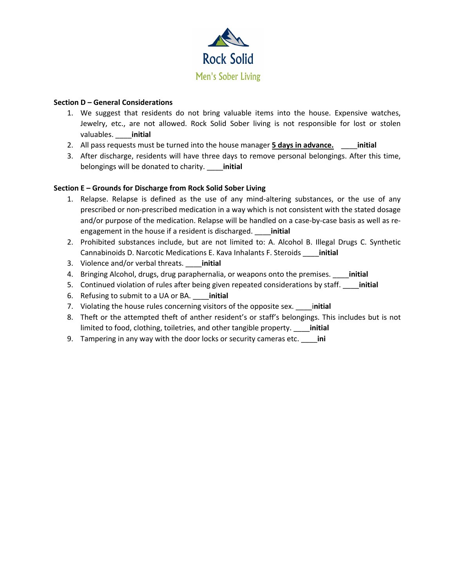

# **Section D – General Considerations**

- 1. We suggest that residents do not bring valuable items into the house. Expensive watches, Jewelry, etc., are not allowed. Rock Solid Sober living is not responsible for lost or stolen valuables. \_\_\_\_**initial**
- 2. All pass requests must be turned into the house manager **5 days in advance.** \_\_\_\_**initial**
- 3. After discharge, residents will have three days to remove personal belongings. After this time, belongings will be donated to charity. \_\_\_\_**initial**

# **Section E – Grounds for Discharge from Rock Solid Sober Living**

- 1. Relapse. Relapse is defined as the use of any mind-altering substances, or the use of any prescribed or non-prescribed medication in a way which is not consistent with the stated dosage and/or purpose of the medication. Relapse will be handled on a case-by-case basis as well as reengagement in the house if a resident is discharged. \_\_\_\_**initial**
- 2. Prohibited substances include, but are not limited to: A. Alcohol B. Illegal Drugs C. Synthetic Cannabinoids D. Narcotic Medications E. Kava Inhalants F. Steroids \_\_\_\_**initial**
- 3. Violence and/or verbal threats. \_\_\_\_**initial**
- 4. Bringing Alcohol, drugs, drug paraphernalia, or weapons onto the premises. \_\_\_\_**initial**
- 5. Continued violation of rules after being given repeated considerations by staff. \_\_\_\_**initial**
- 6. Refusing to submit to a UA or BA. \_\_\_\_**initial**
- 7. Violating the house rules concerning visitors of the opposite sex. \_\_\_\_i**nitial**
- 8. Theft or the attempted theft of anther resident's or staff's belongings. This includes but is not limited to food, clothing, toiletries, and other tangible property. \_\_\_\_**initial**
- 9. Tampering in any way with the door locks or security cameras etc. \_\_\_\_**ini**